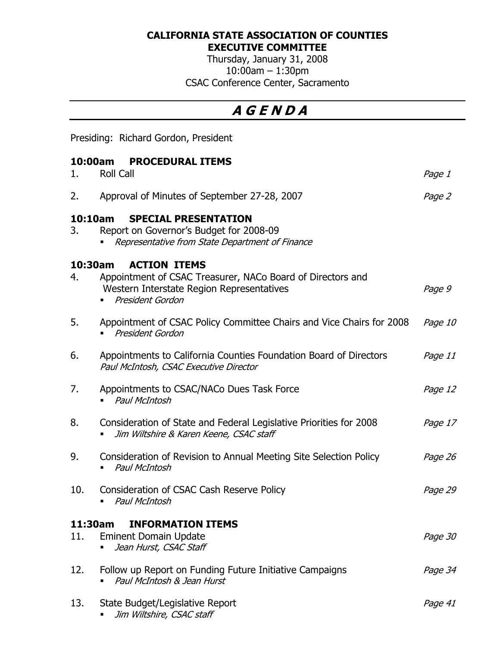#### CALIFORNIA STATE ASSOCIATION OF COUNTIES EXECUTIVE COMMITTEE

Thursday, January 31, 2008 10:00am – 1:30pm CSAC Conference Center, Sacramento

# A G E N D A

Presiding: Richard Gordon, President

### 10:00am PROCEDURAL ITEMS

| 1.            | <b>Roll Call</b>                                                                                                                                   | Page 1  |
|---------------|----------------------------------------------------------------------------------------------------------------------------------------------------|---------|
| 2.            | Approval of Minutes of September 27-28, 2007                                                                                                       | Page 2  |
| 10:10am<br>3. | <b>SPECIAL PRESENTATION</b><br>Report on Governor's Budget for 2008-09<br>Representative from State Department of Finance                          |         |
| 10:30am<br>4. | <b>ACTION ITEMS</b><br>Appointment of CSAC Treasurer, NACo Board of Directors and<br>Western Interstate Region Representatives<br>President Gordon | Page 9  |
| 5.            | Appointment of CSAC Policy Committee Chairs and Vice Chairs for 2008<br>President Gordon                                                           | Page 10 |
| 6.            | Appointments to California Counties Foundation Board of Directors<br>Paul McIntosh, CSAC Executive Director                                        | Page 11 |
| 7.            | Appointments to CSAC/NACo Dues Task Force<br><b>Paul McIntosh</b>                                                                                  | Page 12 |
| 8.            | Consideration of State and Federal Legislative Priorities for 2008<br>Jim Wiltshire & Karen Keene, CSAC staff                                      | Page 17 |
| 9.            | Consideration of Revision to Annual Meeting Site Selection Policy<br>Paul McIntosh                                                                 | Page 26 |
| 10.           | Consideration of CSAC Cash Reserve Policy<br><b>Paul McIntosh</b>                                                                                  | Page 29 |
|               | <b>INFORMATION ITEMS</b><br>11:30am                                                                                                                |         |
| 11.           | <b>Eminent Domain Update</b><br>Jean Hurst, CSAC Staff                                                                                             | Page 30 |
| 12.           | Follow up Report on Funding Future Initiative Campaigns<br>Paul McIntosh & Jean Hurst                                                              | Page 34 |
| 13.           | State Budget/Legislative Report<br>Jim Wiltshire, CSAC staff                                                                                       | Page 41 |